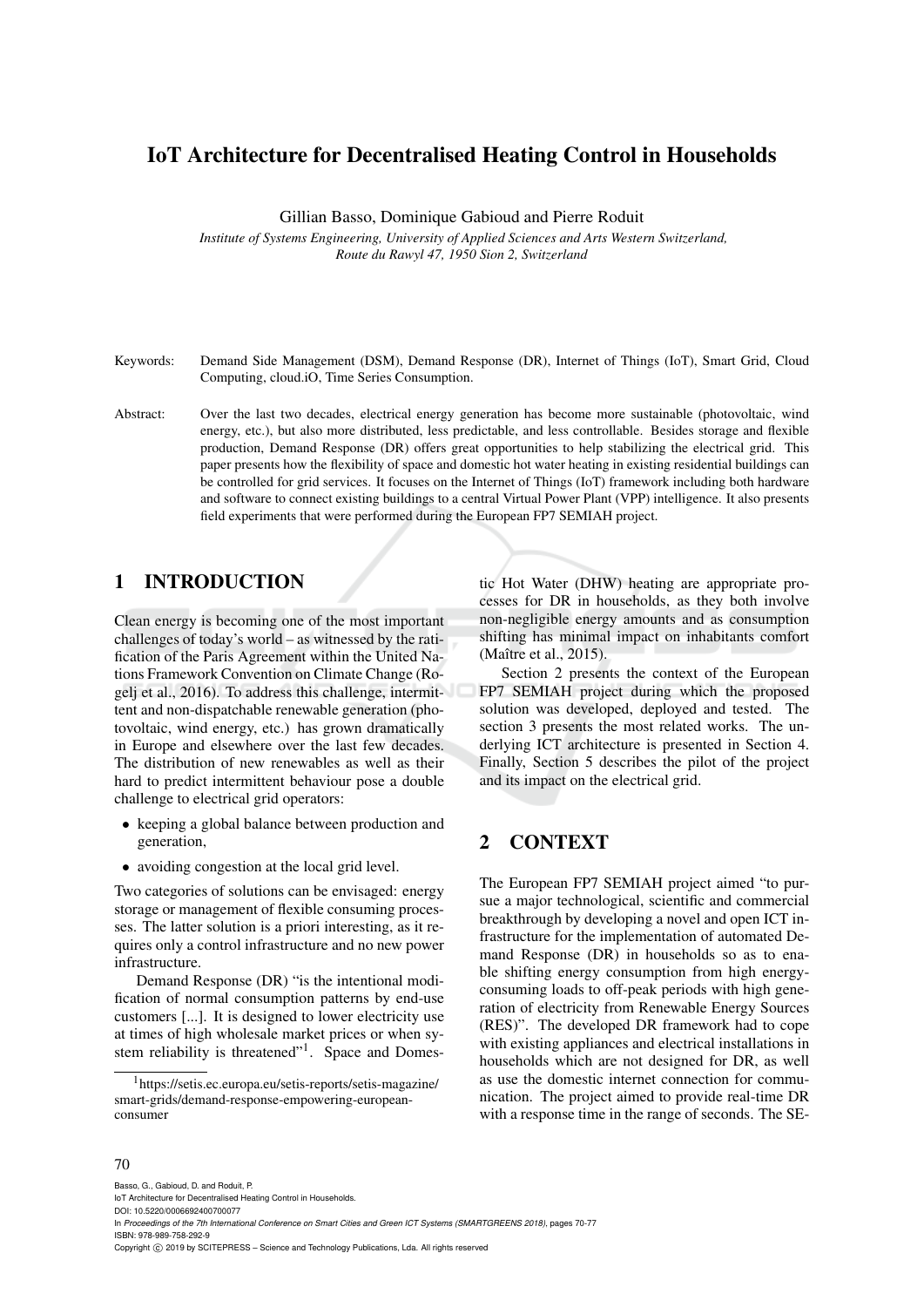# IoT Architecture for Decentralised Heating Control in Households

Gillian Basso, Dominique Gabioud and Pierre Roduit

*Institute of Systems Engineering, University of Applied Sciences and Arts Western Switzerland, Route du Rawyl 47, 1950 Sion 2, Switzerland*

- Keywords: Demand Side Management (DSM), Demand Response (DR), Internet of Things (IoT), Smart Grid, Cloud Computing, cloud.iO, Time Series Consumption.
- Abstract: Over the last two decades, electrical energy generation has become more sustainable (photovoltaic, wind energy, etc.), but also more distributed, less predictable, and less controllable. Besides storage and flexible production, Demand Response (DR) offers great opportunities to help stabilizing the electrical grid. This paper presents how the flexibility of space and domestic hot water heating in existing residential buildings can be controlled for grid services. It focuses on the Internet of Things (IoT) framework including both hardware and software to connect existing buildings to a central Virtual Power Plant (VPP) intelligence. It also presents field experiments that were performed during the European FP7 SEMIAH project.

## 1 INTRODUCTION

Clean energy is becoming one of the most important challenges of today's world – as witnessed by the ratification of the Paris Agreement within the United Nations Framework Convention on Climate Change (Rogelj et al., 2016). To address this challenge, intermittent and non-dispatchable renewable generation (photovoltaic, wind energy, etc.) has grown dramatically in Europe and elsewhere over the last few decades. The distribution of new renewables as well as their hard to predict intermittent behaviour pose a double challenge to electrical grid operators:

- keeping a global balance between production and generation,
- avoiding congestion at the local grid level.

Two categories of solutions can be envisaged: energy storage or management of flexible consuming processes. The latter solution is a priori interesting, as it requires only a control infrastructure and no new power infrastructure.

Demand Response (DR) "is the intentional modification of normal consumption patterns by end-use customers [...]. It is designed to lower electricity use at times of high wholesale market prices or when system reliability is threatened"<sup>1</sup>. Space and Domestic Hot Water (DHW) heating are appropriate processes for DR in households, as they both involve non-negligible energy amounts and as consumption shifting has minimal impact on inhabitants comfort (Maître et al., 2015).

Section 2 presents the context of the European FP7 SEMIAH project during which the proposed solution was developed, deployed and tested. The section 3 presents the most related works. The underlying ICT architecture is presented in Section 4. Finally, Section 5 describes the pilot of the project and its impact on the electrical grid.

# 2 CONTEXT

The European FP7 SEMIAH project aimed "to pursue a major technological, scientific and commercial breakthrough by developing a novel and open ICT infrastructure for the implementation of automated Demand Response (DR) in households so as to enable shifting energy consumption from high energyconsuming loads to off-peak periods with high generation of electricity from Renewable Energy Sources (RES)". The developed DR framework had to cope with existing appliances and electrical installations in households which are not designed for DR, as well as use the domestic internet connection for communication. The project aimed to provide real-time DR with a response time in the range of seconds. The SE-

#### 70

Basso, G., Gabioud, D. and Roduit, P. IoT Architecture for Decentralised Heating Control in Households.

DOI: 10.5220/0006692400700077

In *Proceedings of the 7th International Conference on Smart Cities and Green ICT Systems (SMARTGREENS 2018)*, pages 70-77 ISBN: 978-989-758-292-9

Copyright (C) 2019 by SCITEPRESS - Science and Technology Publications, Lda. All rights reserved

<sup>1</sup>https://setis.ec.europa.eu/setis-reports/setis-magazine/ smart-grids/demand-response-empowering-europeanconsumer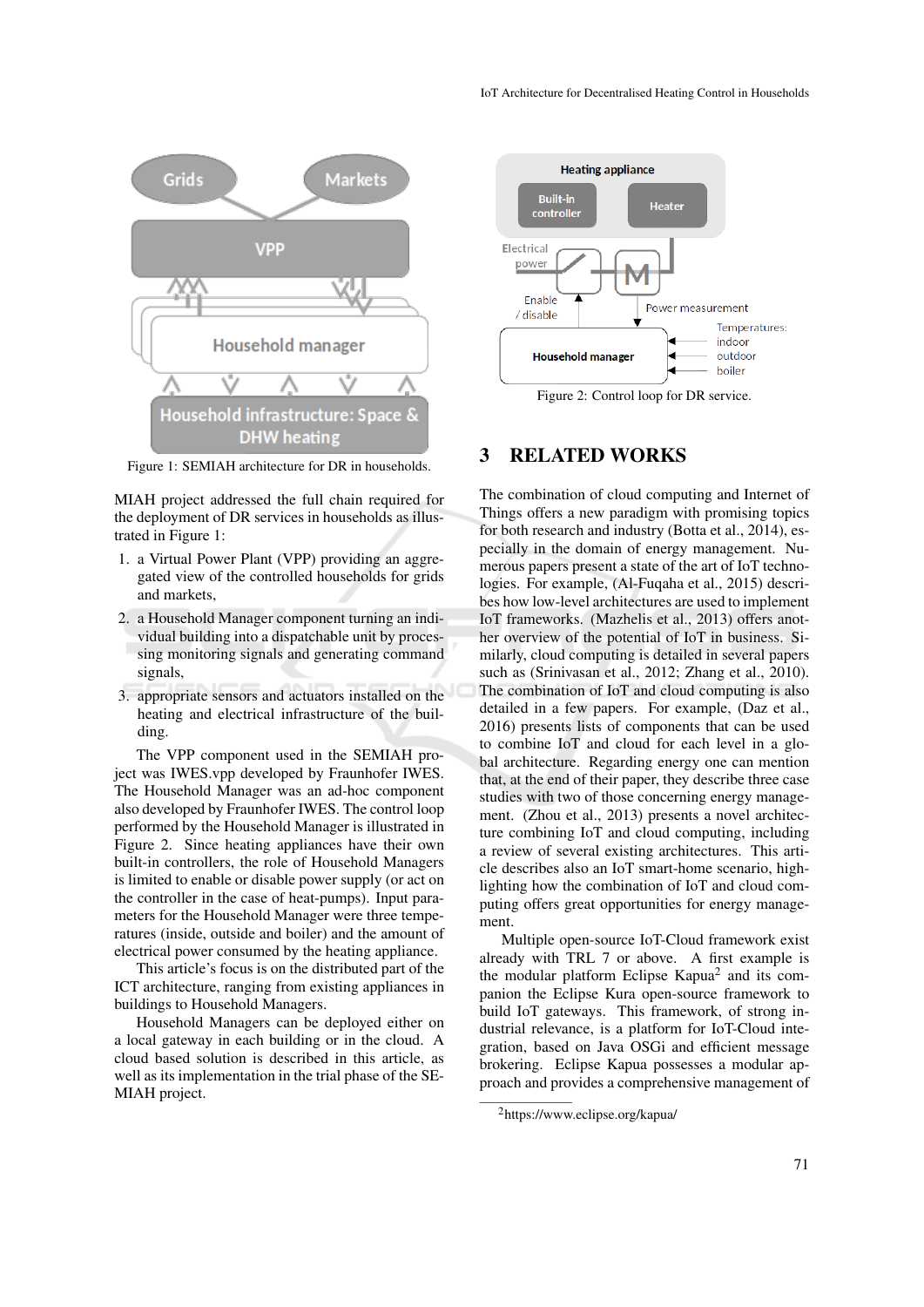

Figure 1: SEMIAH architecture for DR in households.

MIAH project addressed the full chain required for the deployment of DR services in households as illustrated in Figure 1:

- 1. a Virtual Power Plant (VPP) providing an aggregated view of the controlled households for grids and markets,
- 2. a Household Manager component turning an individual building into a dispatchable unit by processing monitoring signals and generating command signals,
- 3. appropriate sensors and actuators installed on the heating and electrical infrastructure of the building.

The VPP component used in the SEMIAH project was IWES.vpp developed by Fraunhofer IWES. The Household Manager was an ad-hoc component also developed by Fraunhofer IWES. The control loop performed by the Household Manager is illustrated in Figure 2. Since heating appliances have their own built-in controllers, the role of Household Managers is limited to enable or disable power supply (or act on the controller in the case of heat-pumps). Input parameters for the Household Manager were three temperatures (inside, outside and boiler) and the amount of electrical power consumed by the heating appliance.

This article's focus is on the distributed part of the ICT architecture, ranging from existing appliances in buildings to Household Managers.

Household Managers can be deployed either on a local gateway in each building or in the cloud. A cloud based solution is described in this article, as well as its implementation in the trial phase of the SE-MIAH project.



Figure 2: Control loop for DR service.

# 3 RELATED WORKS

The combination of cloud computing and Internet of Things offers a new paradigm with promising topics for both research and industry (Botta et al., 2014), especially in the domain of energy management. Numerous papers present a state of the art of IoT technologies. For example, (Al-Fuqaha et al., 2015) describes how low-level architectures are used to implement IoT frameworks. (Mazhelis et al., 2013) offers another overview of the potential of IoT in business. Similarly, cloud computing is detailed in several papers such as (Srinivasan et al., 2012; Zhang et al., 2010). The combination of IoT and cloud computing is also detailed in a few papers. For example, (Daz et al., 2016) presents lists of components that can be used to combine IoT and cloud for each level in a global architecture. Regarding energy one can mention that, at the end of their paper, they describe three case studies with two of those concerning energy management. (Zhou et al., 2013) presents a novel architecture combining IoT and cloud computing, including a review of several existing architectures. This article describes also an IoT smart-home scenario, highlighting how the combination of IoT and cloud computing offers great opportunities for energy management.

Multiple open-source IoT-Cloud framework exist already with TRL 7 or above. A first example is the modular platform Eclipse Kapua<sup>2</sup> and its companion the Eclipse Kura open-source framework to build IoT gateways. This framework, of strong industrial relevance, is a platform for IoT-Cloud integration, based on Java OSGi and efficient message brokering. Eclipse Kapua possesses a modular approach and provides a comprehensive management of

<sup>2</sup>https://www.eclipse.org/kapua/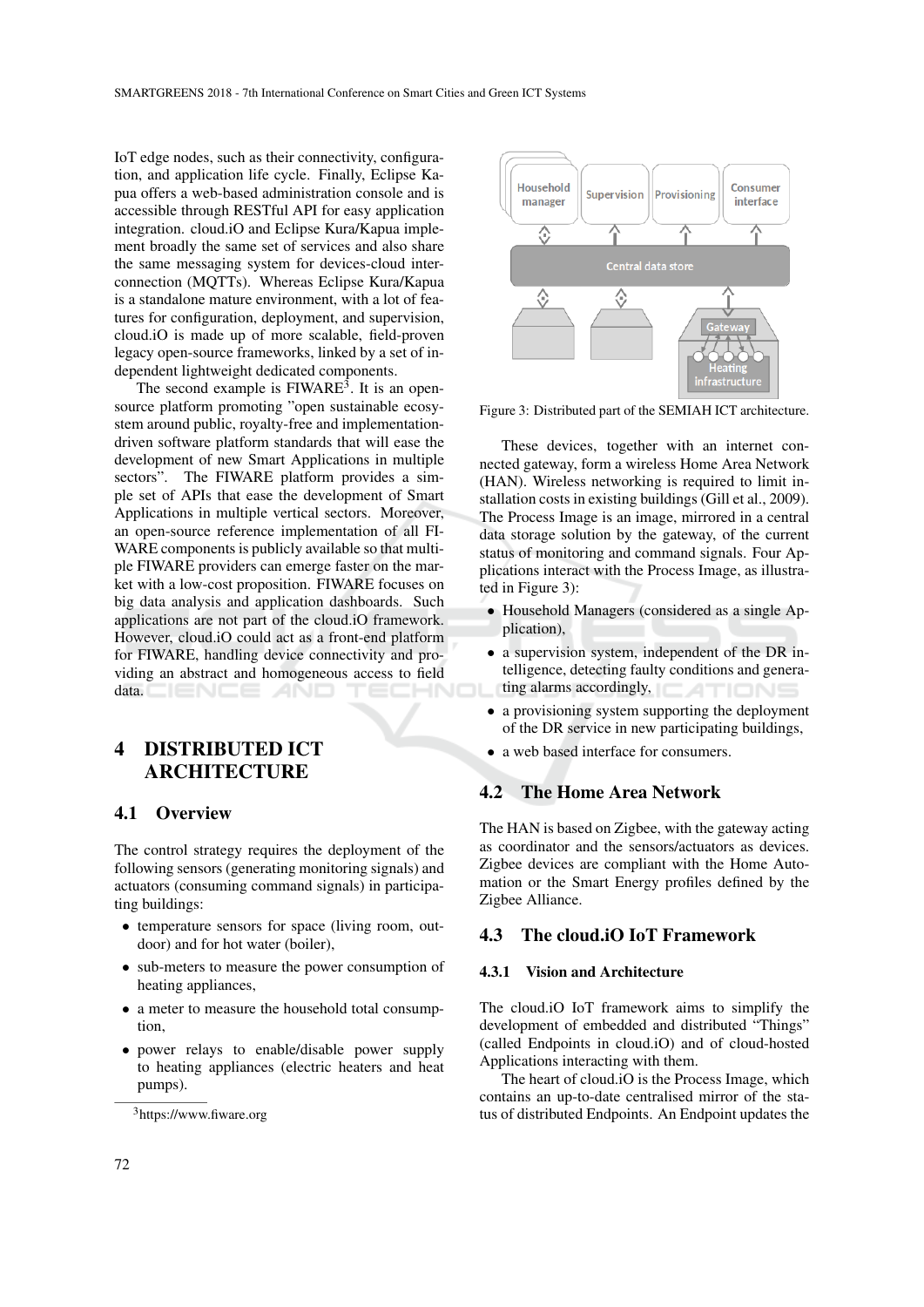IoT edge nodes, such as their connectivity, configuration, and application life cycle. Finally, Eclipse Kapua offers a web-based administration console and is accessible through RESTful API for easy application integration. cloud.iO and Eclipse Kura/Kapua implement broadly the same set of services and also share the same messaging system for devices-cloud interconnection (MQTTs). Whereas Eclipse Kura/Kapua is a standalone mature environment, with a lot of features for configuration, deployment, and supervision, cloud.iO is made up of more scalable, field-proven legacy open-source frameworks, linked by a set of independent lightweight dedicated components.

The second example is  $FIWARE<sup>3</sup>$ . It is an opensource platform promoting "open sustainable ecosystem around public, royalty-free and implementationdriven software platform standards that will ease the development of new Smart Applications in multiple sectors". The FIWARE platform provides a simple set of APIs that ease the development of Smart Applications in multiple vertical sectors. Moreover, an open-source reference implementation of all FI-WARE components is publicly available so that multiple FIWARE providers can emerge faster on the market with a low-cost proposition. FIWARE focuses on big data analysis and application dashboards. Such applications are not part of the cloud.iO framework. However, cloud.iO could act as a front-end platform for FIWARE, handling device connectivity and providing an abstract and homogeneous access to field  $data.$   $\Box$   $\Box$   $\Box$   $\Box$   $\Box$   $\Box$   $\Box$ 

# 4 DISTRIBUTED ICT ARCHITECTURE

### 4.1 Overview

The control strategy requires the deployment of the following sensors (generating monitoring signals) and actuators (consuming command signals) in participating buildings:

- temperature sensors for space (living room, outdoor) and for hot water (boiler),
- sub-meters to measure the power consumption of heating appliances,
- a meter to measure the household total consumption,
- power relays to enable/disable power supply to heating appliances (electric heaters and heat pumps).



Figure 3: Distributed part of the SEMIAH ICT architecture.

These devices, together with an internet connected gateway, form a wireless Home Area Network (HAN). Wireless networking is required to limit installation costs in existing buildings (Gill et al., 2009). The Process Image is an image, mirrored in a central data storage solution by the gateway, of the current status of monitoring and command signals. Four Applications interact with the Process Image, as illustrated in Figure 3):

- Household Managers (considered as a single Application),
- a supervision system, independent of the DR intelligence, detecting faulty conditions and generating alarms accordingly,  $\Box$
- a provisioning system supporting the deployment of the DR service in new participating buildings,
- a web based interface for consumers.

### 4.2 The Home Area Network

The HAN is based on Zigbee, with the gateway acting as coordinator and the sensors/actuators as devices. Zigbee devices are compliant with the Home Automation or the Smart Energy profiles defined by the Zigbee Alliance.

### 4.3 The cloud.iO IoT Framework

#### 4.3.1 Vision and Architecture

The cloud.iO IoT framework aims to simplify the development of embedded and distributed "Things" (called Endpoints in cloud.iO) and of cloud-hosted Applications interacting with them.

The heart of cloud.iO is the Process Image, which contains an up-to-date centralised mirror of the status of distributed Endpoints. An Endpoint updates the

<sup>3</sup>https://www.fiware.org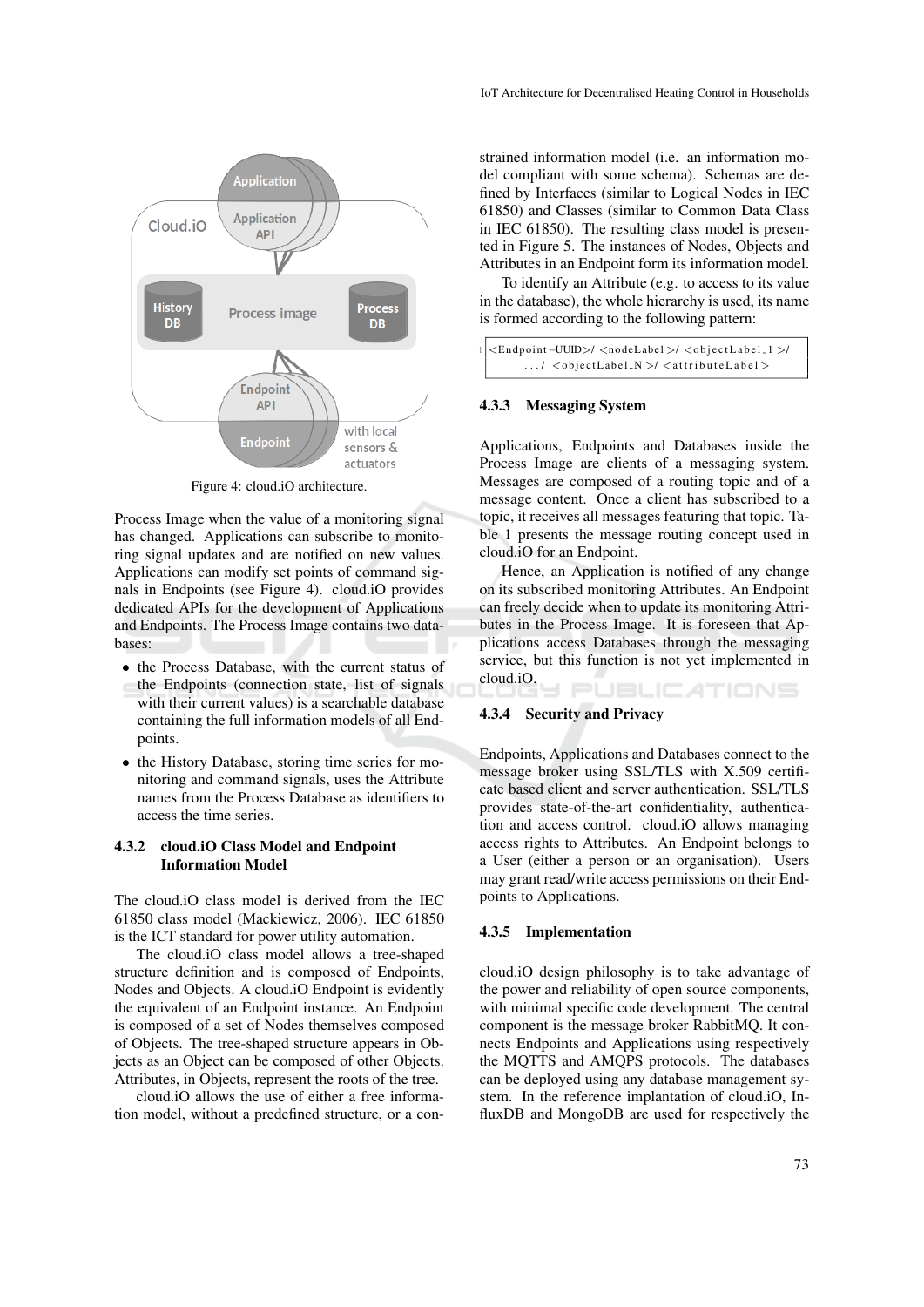

Figure 4: cloud.iO architecture.

Process Image when the value of a monitoring signal has changed. Applications can subscribe to monitoring signal updates and are notified on new values. Applications can modify set points of command signals in Endpoints (see Figure 4). cloud.iO provides dedicated APIs for the development of Applications and Endpoints. The Process Image contains two databases:

- the Process Database, with the current status of the Endpoints (connection state, list of signals with their current values) is a searchable database containing the full information models of all Endpoints.
- the History Database, storing time series for monitoring and command signals, uses the Attribute names from the Process Database as identifiers to access the time series.

#### 4.3.2 cloud.iO Class Model and Endpoint Information Model

The cloud.iO class model is derived from the IEC 61850 class model (Mackiewicz, 2006). IEC 61850 is the ICT standard for power utility automation.

The cloud.iO class model allows a tree-shaped structure definition and is composed of Endpoints, Nodes and Objects. A cloud.iO Endpoint is evidently the equivalent of an Endpoint instance. An Endpoint is composed of a set of Nodes themselves composed of Objects. The tree-shaped structure appears in Objects as an Object can be composed of other Objects. Attributes, in Objects, represent the roots of the tree.

cloud.iO allows the use of either a free information model, without a predefined structure, or a con-

strained information model (i.e. an information model compliant with some schema). Schemas are defined by Interfaces (similar to Logical Nodes in IEC 61850) and Classes (similar to Common Data Class in IEC 61850). The resulting class model is presented in Figure 5. The instances of Nodes, Objects and Attributes in an Endpoint form its information model.

To identify an Attribute (e.g. to access to its value in the database), the whole hierarchy is used, its name is formed according to the following pattern:

```
1 <E n d p oi nt−UUID>/ <n o deLa bel >/ <o b j e c t L a b e l 1 >/
\dots/ <objectLabel_N >/ <attributeLabel >
```
#### 4.3.3 Messaging System

Applications, Endpoints and Databases inside the Process Image are clients of a messaging system. Messages are composed of a routing topic and of a message content. Once a client has subscribed to a topic, it receives all messages featuring that topic. Table 1 presents the message routing concept used in cloud.iO for an Endpoint.

Hence, an Application is notified of any change on its subscribed monitoring Attributes. An Endpoint can freely decide when to update its monitoring Attributes in the Process Image. It is foreseen that Applications access Databases through the messaging service, but this function is not yet implemented in cloud.iO. PUBLICATIONS

#### 4.3.4 Security and Privacy

Endpoints, Applications and Databases connect to the message broker using SSL/TLS with X.509 certificate based client and server authentication. SSL/TLS provides state-of-the-art confidentiality, authentication and access control. cloud.iO allows managing access rights to Attributes. An Endpoint belongs to a User (either a person or an organisation). Users may grant read/write access permissions on their Endpoints to Applications.

#### 4.3.5 Implementation

cloud.iO design philosophy is to take advantage of the power and reliability of open source components, with minimal specific code development. The central component is the message broker RabbitMQ. It connects Endpoints and Applications using respectively the MQTTS and AMQPS protocols. The databases can be deployed using any database management system. In the reference implantation of cloud.iO, InfluxDB and MongoDB are used for respectively the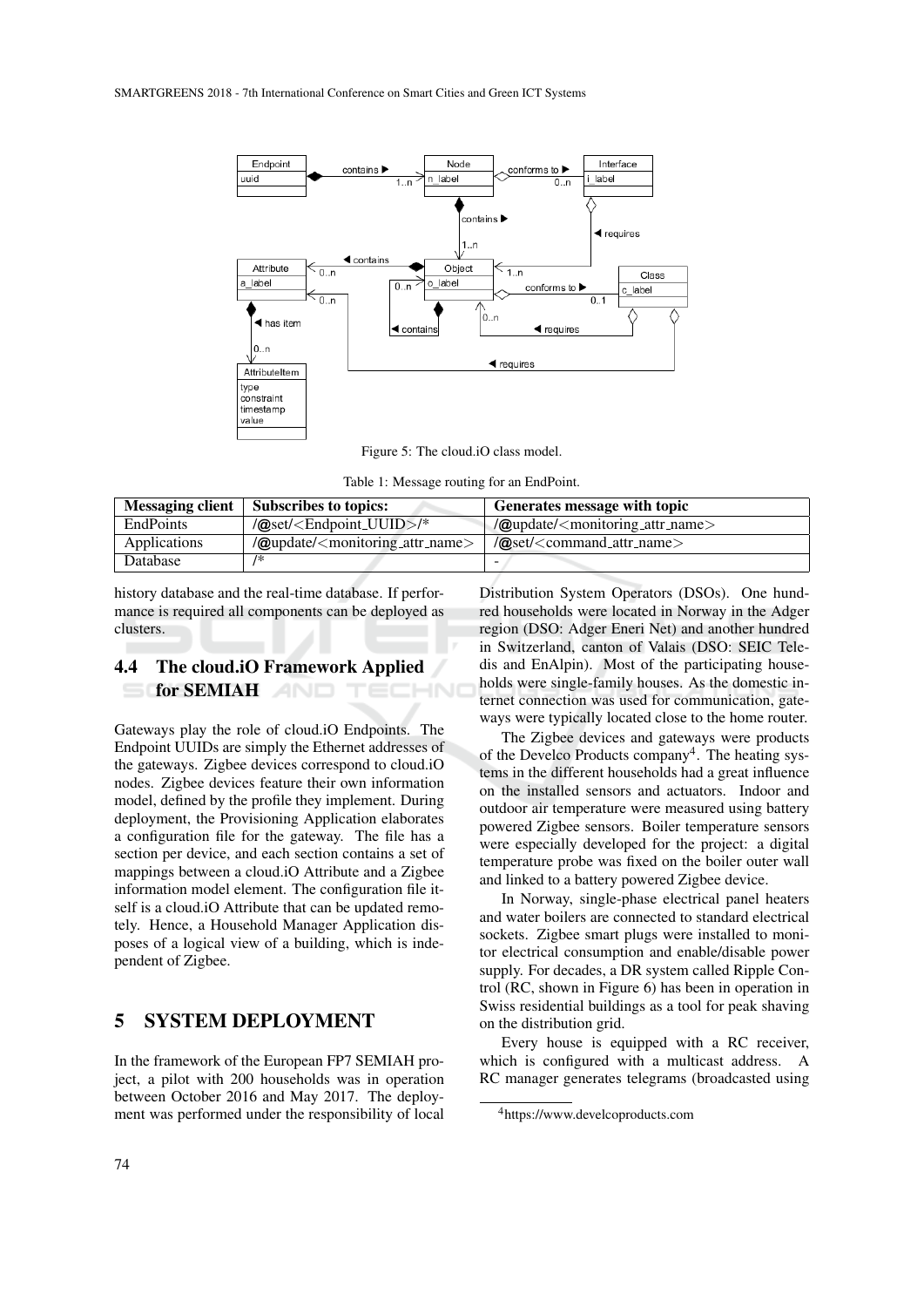

Figure 5: The cloud.iO class model.

Table 1: Message routing for an EndPoint.

| <b>Messaging client</b> | <b>Subscribes to topics:</b>                                   | Generates message with topic                                   |
|-------------------------|----------------------------------------------------------------|----------------------------------------------------------------|
| <b>EndPoints</b>        | $\sqrt{\omega}$ set/ <endpoint_uuid>/*</endpoint_uuid>         | $\alpha$ update/ <monitoring_attr_name></monitoring_attr_name> |
| Applications            | $\omega$ update/ <monitoring_attr_name></monitoring_attr_name> | $\alpha$ set/ <command_attr_name></command_attr_name>          |
| Database                | /∗                                                             |                                                                |

history database and the real-time database. If performance is required all components can be deployed as clusters.

## 4.4 The cloud.iO Framework Applied for SEMIAH

Gateways play the role of cloud.iO Endpoints. The Endpoint UUIDs are simply the Ethernet addresses of the gateways. Zigbee devices correspond to cloud.iO nodes. Zigbee devices feature their own information model, defined by the profile they implement. During deployment, the Provisioning Application elaborates a configuration file for the gateway. The file has a section per device, and each section contains a set of mappings between a cloud.iO Attribute and a Zigbee information model element. The configuration file itself is a cloud.iO Attribute that can be updated remotely. Hence, a Household Manager Application disposes of a logical view of a building, which is independent of Zigbee.

## 5 SYSTEM DEPLOYMENT

In the framework of the European FP7 SEMIAH project, a pilot with 200 households was in operation between October 2016 and May 2017. The deployment was performed under the responsibility of local

Distribution System Operators (DSOs). One hundred households were located in Norway in the Adger region (DSO: Adger Eneri Net) and another hundred in Switzerland, canton of Valais (DSO: SEIC Teledis and EnAlpin). Most of the participating households were single-family houses. As the domestic internet connection was used for communication, gateways were typically located close to the home router.

The Zigbee devices and gateways were products of the Develco Products company<sup>4</sup>. The heating systems in the different households had a great influence on the installed sensors and actuators. Indoor and outdoor air temperature were measured using battery powered Zigbee sensors. Boiler temperature sensors were especially developed for the project: a digital temperature probe was fixed on the boiler outer wall and linked to a battery powered Zigbee device.

In Norway, single-phase electrical panel heaters and water boilers are connected to standard electrical sockets. Zigbee smart plugs were installed to monitor electrical consumption and enable/disable power supply. For decades, a DR system called Ripple Control (RC, shown in Figure 6) has been in operation in Swiss residential buildings as a tool for peak shaving on the distribution grid.

Every house is equipped with a RC receiver, which is configured with a multicast address. A RC manager generates telegrams (broadcasted using

<sup>4</sup>https://www.develcoproducts.com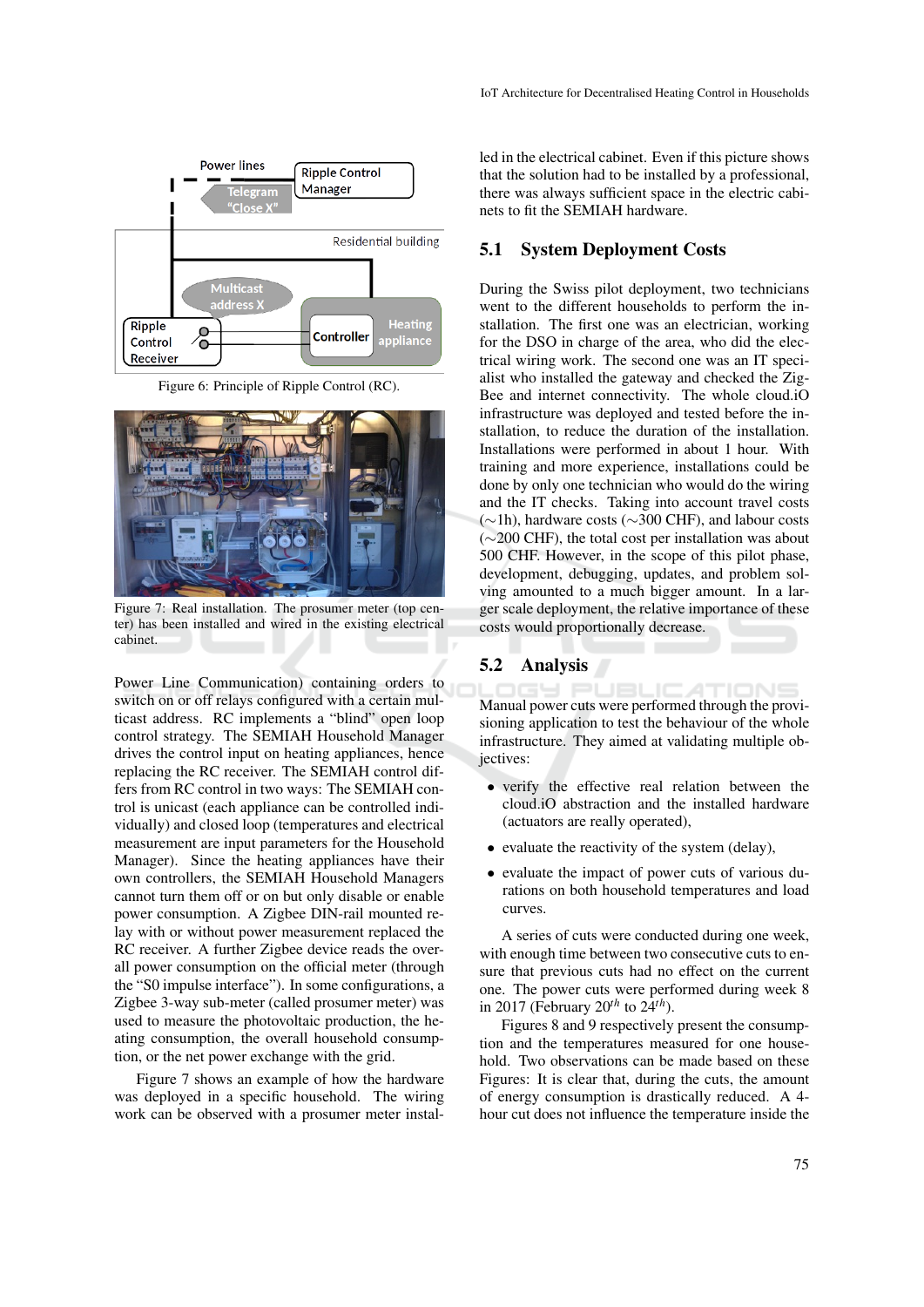

Figure 6: Principle of Ripple Control (RC).



Figure 7: Real installation. The prosumer meter (top center) has been installed and wired in the existing electrical cabinet.

Power Line Communication) containing orders to switch on or off relays configured with a certain multicast address. RC implements a "blind" open loop control strategy. The SEMIAH Household Manager drives the control input on heating appliances, hence replacing the RC receiver. The SEMIAH control differs from RC control in two ways: The SEMIAH control is unicast (each appliance can be controlled individually) and closed loop (temperatures and electrical measurement are input parameters for the Household Manager). Since the heating appliances have their own controllers, the SEMIAH Household Managers cannot turn them off or on but only disable or enable power consumption. A Zigbee DIN-rail mounted relay with or without power measurement replaced the RC receiver. A further Zigbee device reads the overall power consumption on the official meter (through the "S0 impulse interface"). In some configurations, a Zigbee 3-way sub-meter (called prosumer meter) was used to measure the photovoltaic production, the heating consumption, the overall household consumption, or the net power exchange with the grid.

Figure 7 shows an example of how the hardware was deployed in a specific household. The wiring work can be observed with a prosumer meter instal-

led in the electrical cabinet. Even if this picture shows that the solution had to be installed by a professional, there was always sufficient space in the electric cabinets to fit the SEMIAH hardware.

### 5.1 System Deployment Costs

During the Swiss pilot deployment, two technicians went to the different households to perform the installation. The first one was an electrician, working for the DSO in charge of the area, who did the electrical wiring work. The second one was an IT specialist who installed the gateway and checked the Zig-Bee and internet connectivity. The whole cloud.iO infrastructure was deployed and tested before the installation, to reduce the duration of the installation. Installations were performed in about 1 hour. With training and more experience, installations could be done by only one technician who would do the wiring and the IT checks. Taking into account travel costs (∼1h), hardware costs (∼300 CHF), and labour costs (∼200 CHF), the total cost per installation was about 500 CHF. However, in the scope of this pilot phase, development, debugging, updates, and problem solving amounted to a much bigger amount. In a larger scale deployment, the relative importance of these costs would proportionally decrease.

### 5.2 Analysis

Manual power cuts were performed through the provisioning application to test the behaviour of the whole infrastructure. They aimed at validating multiple obiectives:

- verify the effective real relation between the cloud.iO abstraction and the installed hardware (actuators are really operated),
- evaluate the reactivity of the system (delay),
- evaluate the impact of power cuts of various durations on both household temperatures and load curves.

A series of cuts were conducted during one week, with enough time between two consecutive cuts to ensure that previous cuts had no effect on the current one. The power cuts were performed during week 8 in 2017 (February 20*th* to 24*th*).

Figures 8 and 9 respectively present the consumption and the temperatures measured for one household. Two observations can be made based on these Figures: It is clear that, during the cuts, the amount of energy consumption is drastically reduced. A 4 hour cut does not influence the temperature inside the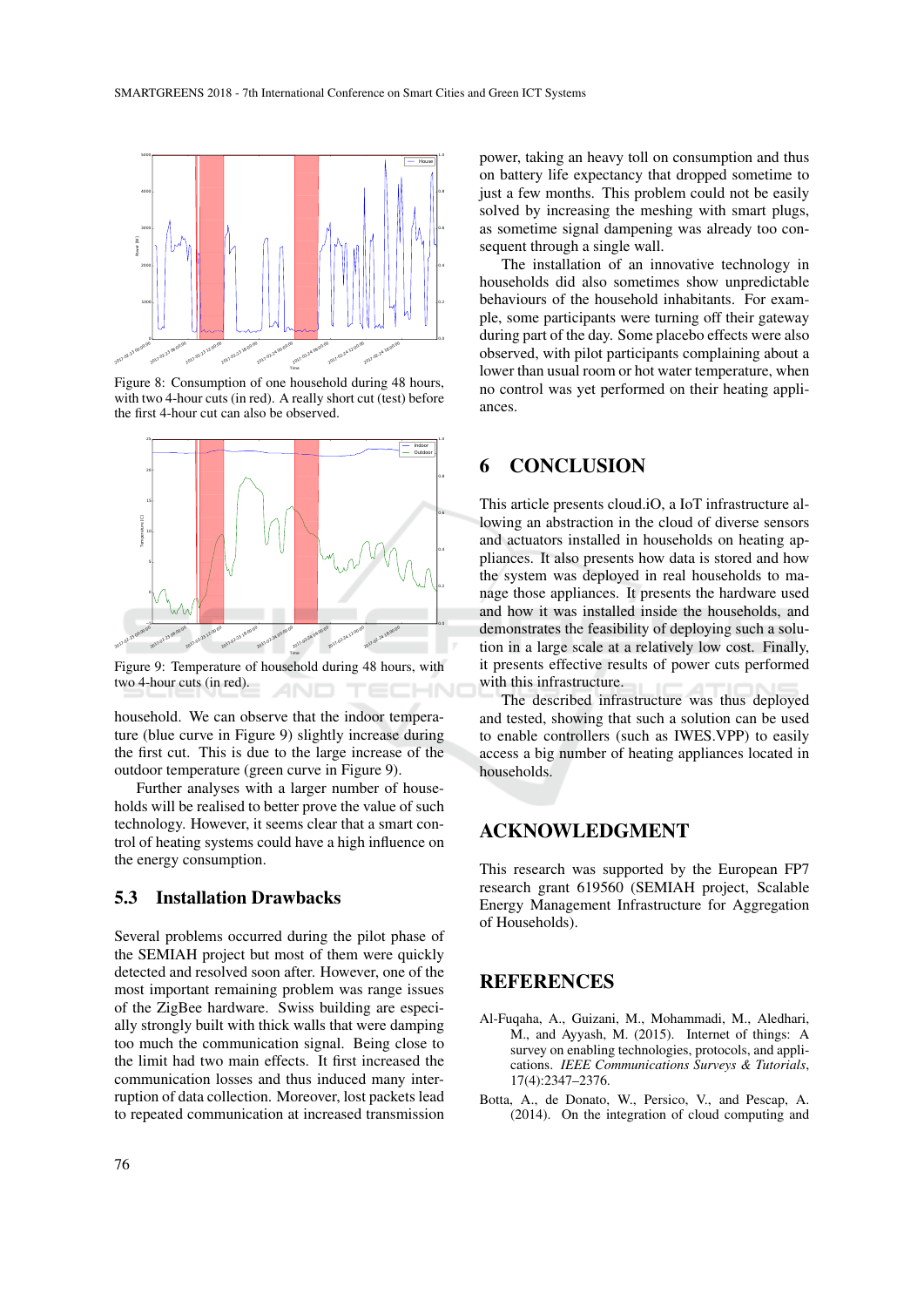

Figure 8: Consumption of one household during 48 hours, with two 4-hour cuts (in red). A really short cut (test) before the first 4-hour cut can also be observed.



Figure 9: Temperature of household during 48 hours, with two 4-hour cuts (in red).

household. We can observe that the indoor temperature (blue curve in Figure 9) slightly increase during the first cut. This is due to the large increase of the outdoor temperature (green curve in Figure 9).

Further analyses with a larger number of households will be realised to better prove the value of such technology. However, it seems clear that a smart control of heating systems could have a high influence on the energy consumption.

### 5.3 Installation Drawbacks

Several problems occurred during the pilot phase of the SEMIAH project but most of them were quickly detected and resolved soon after. However, one of the most important remaining problem was range issues of the ZigBee hardware. Swiss building are especially strongly built with thick walls that were damping too much the communication signal. Being close to the limit had two main effects. It first increased the communication losses and thus induced many interruption of data collection. Moreover, lost packets lead to repeated communication at increased transmission

power, taking an heavy toll on consumption and thus on battery life expectancy that dropped sometime to just a few months. This problem could not be easily solved by increasing the meshing with smart plugs, as sometime signal dampening was already too consequent through a single wall.

The installation of an innovative technology in households did also sometimes show unpredictable behaviours of the household inhabitants. For example, some participants were turning off their gateway during part of the day. Some placebo effects were also observed, with pilot participants complaining about a lower than usual room or hot water temperature, when no control was yet performed on their heating appliances.

## 6 CONCLUSION

This article presents cloud.iO, a IoT infrastructure allowing an abstraction in the cloud of diverse sensors and actuators installed in households on heating appliances. It also presents how data is stored and how the system was deployed in real households to manage those appliances. It presents the hardware used and how it was installed inside the households, and demonstrates the feasibility of deploying such a solution in a large scale at a relatively low cost. Finally, it presents effective results of power cuts performed with this infrastructure.

The described infrastructure was thus deployed and tested, showing that such a solution can be used to enable controllers (such as IWES.VPP) to easily access a big number of heating appliances located in households.

## ACKNOWLEDGMENT

This research was supported by the European FP7 research grant 619560 (SEMIAH project, Scalable Energy Management Infrastructure for Aggregation of Households).

## **REFERENCES**

- Al-Fuqaha, A., Guizani, M., Mohammadi, M., Aledhari, M., and Ayyash, M. (2015). Internet of things: A survey on enabling technologies, protocols, and applications. *IEEE Communications Surveys & Tutorials*, 17(4):2347–2376.
- Botta, A., de Donato, W., Persico, V., and Pescap, A. (2014). On the integration of cloud computing and